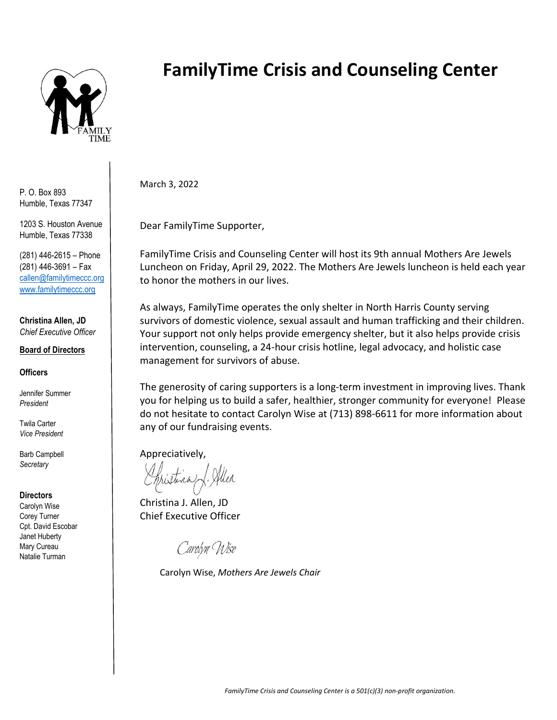

P. O. Box 893 Humble, Texas 77347

1203 S. Houston Avenue Humble, Texas 77338

(281) 446-2615 – Phone (281) 446-3691 – Fax callen@familytimeccc.org [www.familytimeccc.org](http://www.familytimeccc.org/)

**Christina Allen, JD** *Chief Executive Officer*

#### **Board of Directors**

**Officers**

Jennifer Summer *President*

Twila Carter *Vice President*

Barb Campbell *Secretary*

#### **Directors**

Carolyn Wise Corey Turner Cpt. David Escobar Janet Huberty Mary Cureau Natalie Turman

# **FamilyTime Crisis and Counseling Center**

March 3, 2022

Dear FamilyTime Supporter,

FamilyTime Crisis and Counseling Center will host its 9th annual Mothers Are Jewels Luncheon on Friday, April 29, 2022. The Mothers Are Jewels luncheon is held each year to honor the mothers in our lives.

As always, FamilyTime operates the only shelter in North Harris County serving survivors of domestic violence, sexual assault and human trafficking and their children. Your support not only helps provide emergency shelter, but it also helps provide crisis intervention, counseling, a 24-hour crisis hotline, legal advocacy, and holistic case management for survivors of abuse.

The generosity of caring supporters is a long-term investment in improving lives. Thank you for helping us to build a safer, healthier, stronger community for everyone! Please do not hesitate to contact Carolyn Wise at (713) 898-6611 for more information about any of our fundraising events.

Appreciatively,

Christina J. Allen, JD Chief Executive Officer

Carolyn Wise

Carolyn Wise, *Mothers Are Jewels Chair*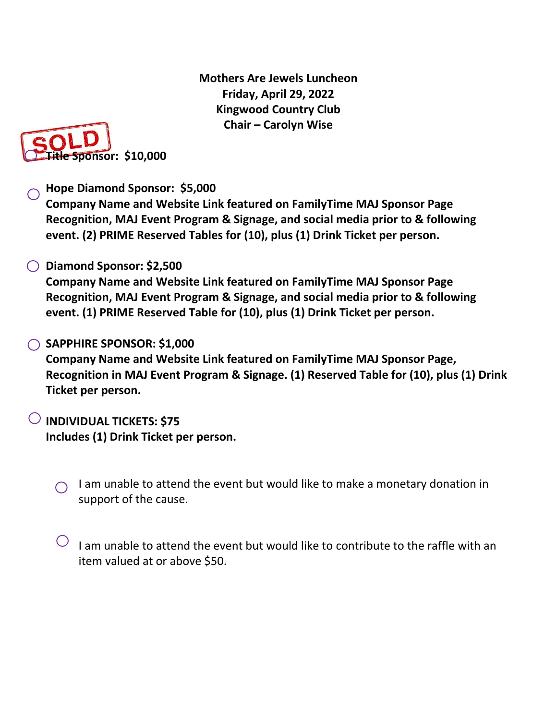**Mothers Are Jewels Luncheon Friday, April 29, 2022 Kingwood Country Club Chair – Carolyn Wise**



### **Hope Diamond Sponsor: \$5,000**

**Company Name and Website Link featured on FamilyTime MAJ Sponsor Page Recognition, MAJ Event Program & Signage, and social media prior to & following event. (2) PRIME Reserved Tables for (10), plus (1) Drink Ticket per person.**

### **Diamond Sponsor: \$2,500**

**Company Name and Website Link featured on FamilyTime MAJ Sponsor Page Recognition, MAJ Event Program & Signage, and social media prior to & following event. (1) PRIME Reserved Table for (10), plus (1) Drink Ticket per person.**

#### **SAPPHIRE SPONSOR: \$1,000**

**Company Name and Website Link featured on FamilyTime MAJ Sponsor Page, Recognition in MAJ Event Program & Signage. (1) Reserved Table for (10), plus (1) Drink Ticket per person.**

## **INDIVIDUAL TICKETS: \$75 Includes (1) Drink Ticket per person.**

- I am unable to attend the event but would like to make a monetary donation in  $\bigcap$ support of the cause.
- I am unable to attend the event but would like to contribute to the raffle with an item valued at or above \$50.